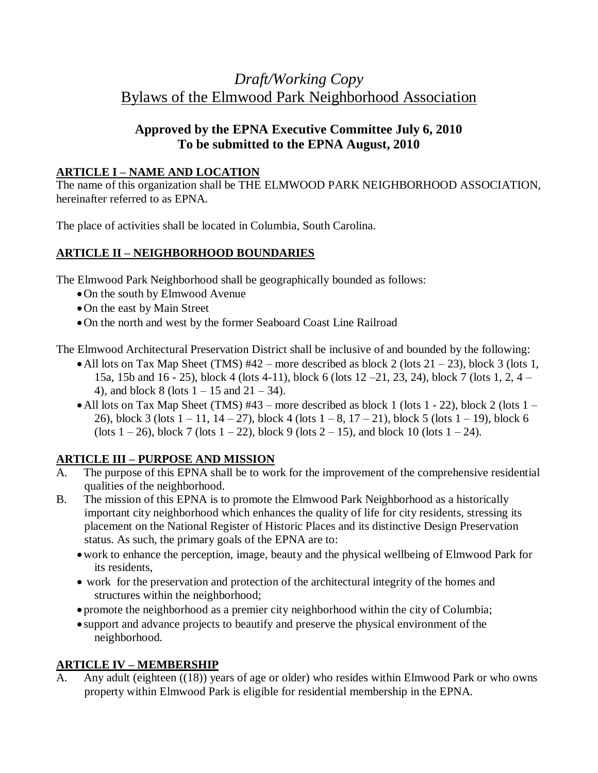# *Draft/Working Copy* Bylaws of the Elmwood Park Neighborhood Association

## **Approved by the EPNA Executive Committee July 6, 2010 To be submitted to the EPNA August, 2010**

#### **ARTICLE I – NAME AND LOCATION**

The name of this organization shall be THE ELMWOOD PARK NEIGHBORHOOD ASSOCIATION, hereinafter referred to as EPNA.

The place of activities shall be located in Columbia, South Carolina.

## **ARTICLE II – NEIGHBORHOOD BOUNDARIES**

The Elmwood Park Neighborhood shall be geographically bounded as follows:

- On the south by Elmwood Avenue
- On the east by Main Street
- On the north and west by the former Seaboard Coast Line Railroad

The Elmwood Architectural Preservation District shall be inclusive of and bounded by the following:

- All lots on Tax Map Sheet (TMS)  $#42$  more described as block 2 (lots  $21 23$ ), block 3 (lots 1, 15a, 15b and 16 - 25), block 4 (lots 4-11), block 6 (lots 12 –21, 23, 24), block 7 (lots 1, 2, 4 – 4), and block 8 (lots  $1 - 15$  and  $21 - 34$ ).
- All lots on Tax Map Sheet (TMS)  $#43$  more described as block 1 (lots 1 22), block 2 (lots 1 26), block 3 (lots  $1 - 11$ ,  $14 - 27$ ), block 4 (lots  $1 - 8$ ,  $17 - 21$ ), block 5 (lots  $1 - 19$ ), block 6 (lots  $1 - 26$ ), block 7 (lots  $1 - 22$ ), block 9 (lots  $2 - 15$ ), and block 10 (lots  $1 - 24$ ).

#### **ARTICLE III – PURPOSE AND MISSION**

- A. The purpose of this EPNA shall be to work for the improvement of the comprehensive residential qualities of the neighborhood.
- B. The mission of this EPNA is to promote the Elmwood Park Neighborhood as a historically important city neighborhood which enhances the quality of life for city residents, stressing its placement on the National Register of Historic Places and its distinctive Design Preservation status. As such, the primary goals of the EPNA are to:
	- work to enhance the perception, image, beauty and the physical wellbeing of Elmwood Park for its residents,
	- work for the preservation and protection of the architectural integrity of the homes and structures within the neighborhood;
	- promote the neighborhood as a premier city neighborhood within the city of Columbia;
	- support and advance projects to beautify and preserve the physical environment of the neighborhood.

#### **ARTICLE IV – MEMBERSHIP**

Any adult (eighteen ((18)) years of age or older) who resides within Elmwood Park or who owns property within Elmwood Park is eligible for residential membership in the EPNA.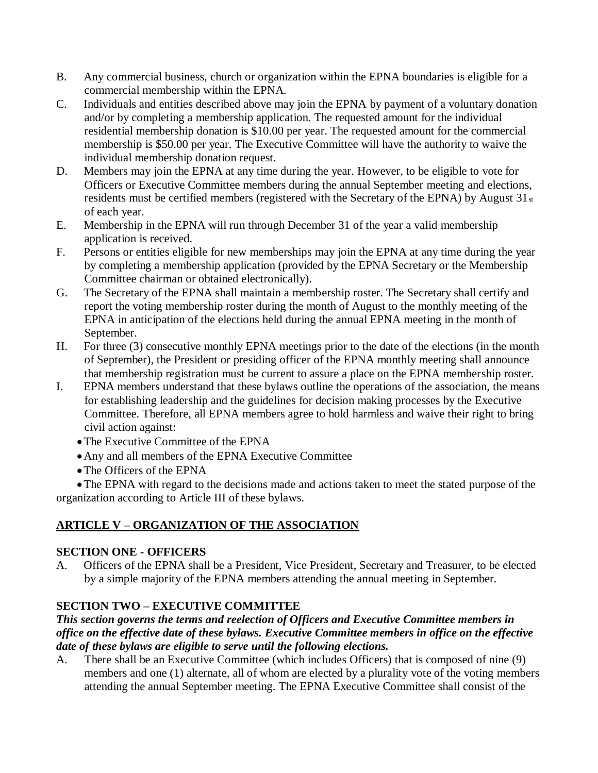- B. Any commercial business, church or organization within the EPNA boundaries is eligible for a commercial membership within the EPNA.
- C. Individuals and entities described above may join the EPNA by payment of a voluntary donation and/or by completing a membership application. The requested amount for the individual residential membership donation is \$10.00 per year. The requested amount for the commercial membership is \$50.00 per year. The Executive Committee will have the authority to waive the individual membership donation request.
- D. Members may join the EPNA at any time during the year. However, to be eligible to vote for Officers or Executive Committee members during the annual September meeting and elections, residents must be certified members (registered with the Secretary of the EPNA) by August 31st of each year.
- E. Membership in the EPNA will run through December 31 of the year a valid membership application is received.
- F. Persons or entities eligible for new memberships may join the EPNA at any time during the year by completing a membership application (provided by the EPNA Secretary or the Membership Committee chairman or obtained electronically).
- G. The Secretary of the EPNA shall maintain a membership roster. The Secretary shall certify and report the voting membership roster during the month of August to the monthly meeting of the EPNA in anticipation of the elections held during the annual EPNA meeting in the month of September.
- H. For three (3) consecutive monthly EPNA meetings prior to the date of the elections (in the month of September), the President or presiding officer of the EPNA monthly meeting shall announce that membership registration must be current to assure a place on the EPNA membership roster.
- I. EPNA members understand that these bylaws outline the operations of the association, the means for establishing leadership and the guidelines for decision making processes by the Executive Committee. Therefore, all EPNA members agree to hold harmless and waive their right to bring civil action against:
	- The Executive Committee of the EPNA
	- Any and all members of the EPNA Executive Committee
	- The Officers of the EPNA

The EPNA with regard to the decisions made and actions taken to meet the stated purpose of the organization according to Article III of these bylaws.

#### **ARTICLE V – ORGANIZATION OF THE ASSOCIATION**

#### **SECTION ONE - OFFICERS**

A. Officers of the EPNA shall be a President, Vice President, Secretary and Treasurer, to be elected by a simple majority of the EPNA members attending the annual meeting in September.

#### **SECTION TWO – EXECUTIVE COMMITTEE**

#### *This section governs the terms and reelection of Officers and Executive Committee members in office on the effective date of these bylaws. Executive Committee members in office on the effective date of these bylaws are eligible to serve until the following elections.*

A. There shall be an Executive Committee (which includes Officers) that is composed of nine (9) members and one (1) alternate, all of whom are elected by a plurality vote of the voting members attending the annual September meeting. The EPNA Executive Committee shall consist of the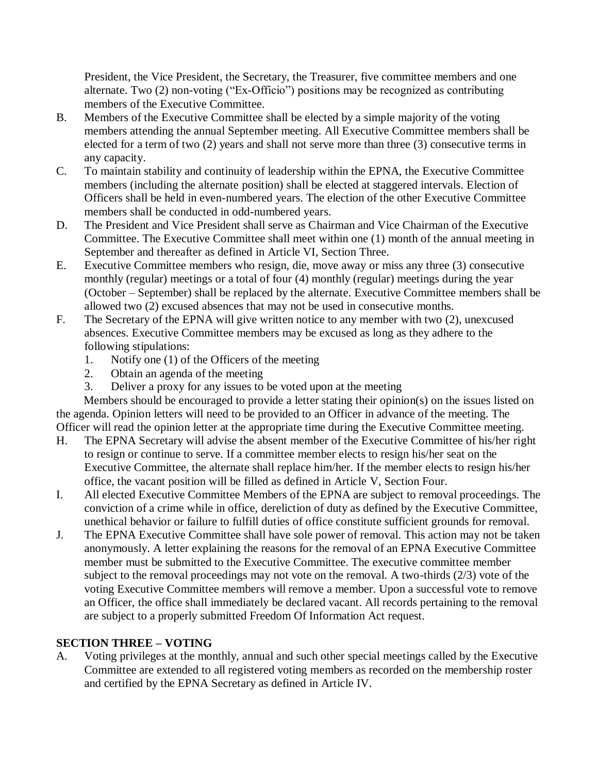President, the Vice President, the Secretary, the Treasurer, five committee members and one alternate. Two (2) non-voting ("Ex-Officio") positions may be recognized as contributing members of the Executive Committee.

- B. Members of the Executive Committee shall be elected by a simple majority of the voting members attending the annual September meeting. All Executive Committee members shall be elected for a term of two (2) years and shall not serve more than three (3) consecutive terms in any capacity.
- C. To maintain stability and continuity of leadership within the EPNA, the Executive Committee members (including the alternate position) shall be elected at staggered intervals. Election of Officers shall be held in even-numbered years. The election of the other Executive Committee members shall be conducted in odd-numbered years.
- D. The President and Vice President shall serve as Chairman and Vice Chairman of the Executive Committee. The Executive Committee shall meet within one (1) month of the annual meeting in September and thereafter as defined in Article VI, Section Three.
- E. Executive Committee members who resign, die, move away or miss any three (3) consecutive monthly (regular) meetings or a total of four (4) monthly (regular) meetings during the year (October – September) shall be replaced by the alternate. Executive Committee members shall be allowed two (2) excused absences that may not be used in consecutive months.
- F. The Secretary of the EPNA will give written notice to any member with two (2), unexcused absences. Executive Committee members may be excused as long as they adhere to the following stipulations:
	- 1. Notify one (1) of the Officers of the meeting
	- 2. Obtain an agenda of the meeting
	- 3. Deliver a proxy for any issues to be voted upon at the meeting

Members should be encouraged to provide a letter stating their opinion(s) on the issues listed on the agenda. Opinion letters will need to be provided to an Officer in advance of the meeting. The Officer will read the opinion letter at the appropriate time during the Executive Committee meeting.

- H. The EPNA Secretary will advise the absent member of the Executive Committee of his/her right to resign or continue to serve. If a committee member elects to resign his/her seat on the Executive Committee, the alternate shall replace him/her. If the member elects to resign his/her office, the vacant position will be filled as defined in Article V, Section Four.
- I. All elected Executive Committee Members of the EPNA are subject to removal proceedings. The conviction of a crime while in office, dereliction of duty as defined by the Executive Committee, unethical behavior or failure to fulfill duties of office constitute sufficient grounds for removal.
- J. The EPNA Executive Committee shall have sole power of removal. This action may not be taken anonymously. A letter explaining the reasons for the removal of an EPNA Executive Committee member must be submitted to the Executive Committee. The executive committee member subject to the removal proceedings may not vote on the removal. A two-thirds (2/3) vote of the voting Executive Committee members will remove a member. Upon a successful vote to remove an Officer, the office shall immediately be declared vacant. All records pertaining to the removal are subject to a properly submitted Freedom Of Information Act request.

#### **SECTION THREE – VOTING**

A. Voting privileges at the monthly, annual and such other special meetings called by the Executive Committee are extended to all registered voting members as recorded on the membership roster and certified by the EPNA Secretary as defined in Article IV.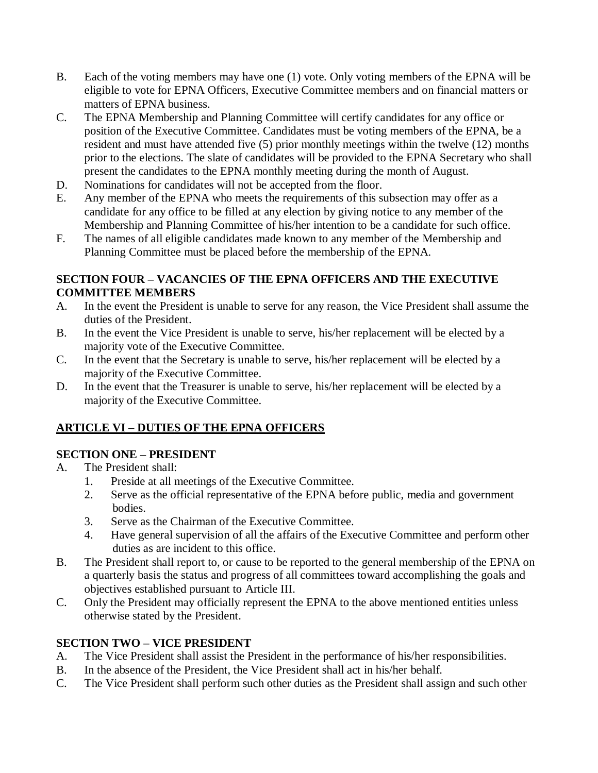- B. Each of the voting members may have one (1) vote. Only voting members of the EPNA will be eligible to vote for EPNA Officers, Executive Committee members and on financial matters or matters of EPNA business.
- C. The EPNA Membership and Planning Committee will certify candidates for any office or position of the Executive Committee. Candidates must be voting members of the EPNA, be a resident and must have attended five (5) prior monthly meetings within the twelve (12) months prior to the elections. The slate of candidates will be provided to the EPNA Secretary who shall present the candidates to the EPNA monthly meeting during the month of August.
- D. Nominations for candidates will not be accepted from the floor.
- E. Any member of the EPNA who meets the requirements of this subsection may offer as a candidate for any office to be filled at any election by giving notice to any member of the Membership and Planning Committee of his/her intention to be a candidate for such office.
- F. The names of all eligible candidates made known to any member of the Membership and Planning Committee must be placed before the membership of the EPNA.

#### **SECTION FOUR – VACANCIES OF THE EPNA OFFICERS AND THE EXECUTIVE COMMITTEE MEMBERS**

- A. In the event the President is unable to serve for any reason, the Vice President shall assume the duties of the President.
- B. In the event the Vice President is unable to serve, his/her replacement will be elected by a majority vote of the Executive Committee.
- C. In the event that the Secretary is unable to serve, his/her replacement will be elected by a majority of the Executive Committee.
- D. In the event that the Treasurer is unable to serve, his/her replacement will be elected by a majority of the Executive Committee.

## **ARTICLE VI – DUTIES OF THE EPNA OFFICERS**

#### **SECTION ONE – PRESIDENT**

- A. The President shall:
	- 1. Preside at all meetings of the Executive Committee.
	- 2. Serve as the official representative of the EPNA before public, media and government bodies.
	- 3. Serve as the Chairman of the Executive Committee.
	- 4. Have general supervision of all the affairs of the Executive Committee and perform other duties as are incident to this office.
- B. The President shall report to, or cause to be reported to the general membership of the EPNA on a quarterly basis the status and progress of all committees toward accomplishing the goals and objectives established pursuant to Article III.
- C. Only the President may officially represent the EPNA to the above mentioned entities unless otherwise stated by the President.

#### **SECTION TWO – VICE PRESIDENT**

- A. The Vice President shall assist the President in the performance of his/her responsibilities.
- B. In the absence of the President, the Vice President shall act in his/her behalf.
- C. The Vice President shall perform such other duties as the President shall assign and such other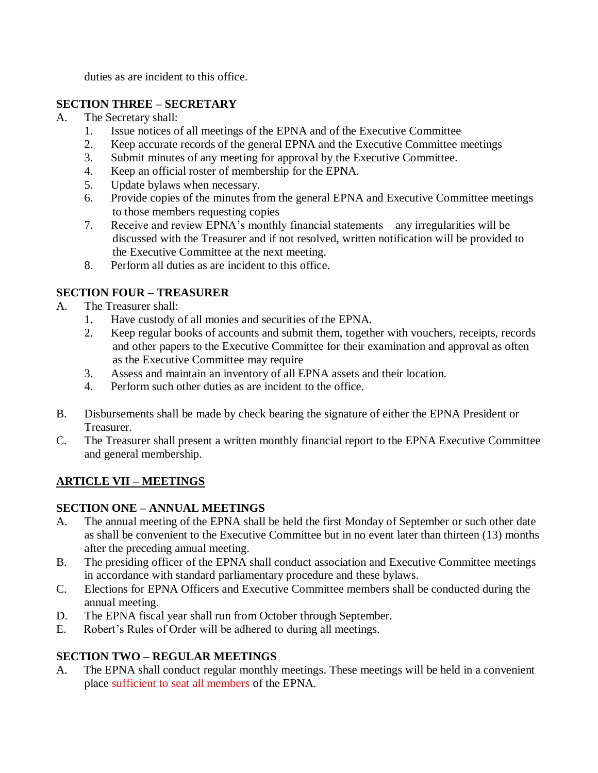duties as are incident to this office.

#### **SECTION THREE – SECRETARY**

- A. The Secretary shall:
	- 1. Issue notices of all meetings of the EPNA and of the Executive Committee
	- 2. Keep accurate records of the general EPNA and the Executive Committee meetings
	- 3. Submit minutes of any meeting for approval by the Executive Committee.
	- 4. Keep an official roster of membership for the EPNA.
	- 5. Update bylaws when necessary.
	- 6. Provide copies of the minutes from the general EPNA and Executive Committee meetings to those members requesting copies
	- 7. Receive and review EPNA's monthly financial statements any irregularities will be discussed with the Treasurer and if not resolved, written notification will be provided to the Executive Committee at the next meeting.
	- 8. Perform all duties as are incident to this office.

#### **SECTION FOUR – TREASURER**

- A. The Treasurer shall:
	- 1. Have custody of all monies and securities of the EPNA.
	- 2. Keep regular books of accounts and submit them, together with vouchers, receipts, records and other papers to the Executive Committee for their examination and approval as often as the Executive Committee may require
	- 3. Assess and maintain an inventory of all EPNA assets and their location.
	- 4. Perform such other duties as are incident to the office.
- B. Disbursements shall be made by check bearing the signature of either the EPNA President or Treasurer.
- C. The Treasurer shall present a written monthly financial report to the EPNA Executive Committee and general membership.

#### **ARTICLE VII – MEETINGS**

#### **SECTION ONE – ANNUAL MEETINGS**

- A. The annual meeting of the EPNA shall be held the first Monday of September or such other date as shall be convenient to the Executive Committee but in no event later than thirteen (13) months after the preceding annual meeting.
- B. The presiding officer of the EPNA shall conduct association and Executive Committee meetings in accordance with standard parliamentary procedure and these bylaws.
- C. Elections for EPNA Officers and Executive Committee members shall be conducted during the annual meeting.
- D. The EPNA fiscal year shall run from October through September.
- E. Robert's Rules of Order will be adhered to during all meetings.

#### **SECTION TWO – REGULAR MEETINGS**

A. The EPNA shall conduct regular monthly meetings. These meetings will be held in a convenient place sufficient to seat all members of the EPNA.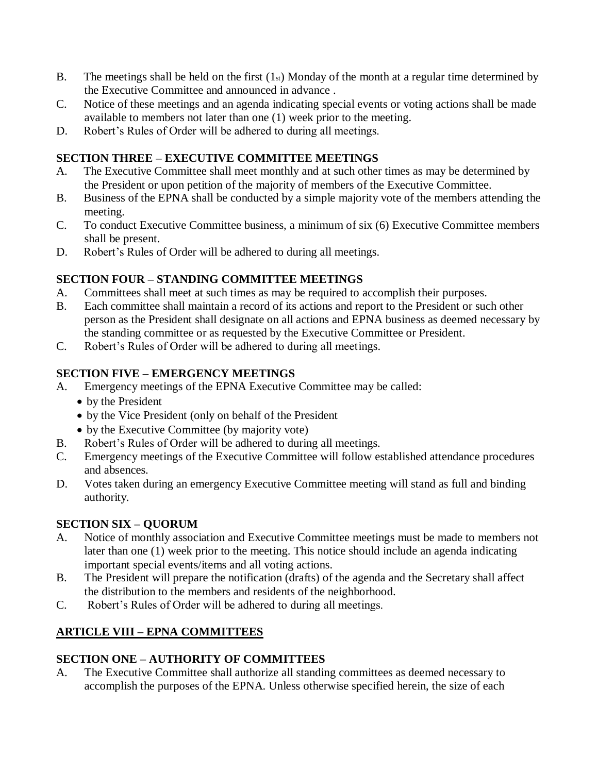- B. The meetings shall be held on the first  $(1<sub>st</sub>)$  Monday of the month at a regular time determined by the Executive Committee and announced in advance .
- C. Notice of these meetings and an agenda indicating special events or voting actions shall be made available to members not later than one (1) week prior to the meeting.
- D. Robert's Rules of Order will be adhered to during all meetings.

## **SECTION THREE – EXECUTIVE COMMITTEE MEETINGS**

- A. The Executive Committee shall meet monthly and at such other times as may be determined by the President or upon petition of the majority of members of the Executive Committee.
- B. Business of the EPNA shall be conducted by a simple majority vote of the members attending the meeting.
- C. To conduct Executive Committee business, a minimum of six (6) Executive Committee members shall be present.
- D. Robert's Rules of Order will be adhered to during all meetings.

#### **SECTION FOUR – STANDING COMMITTEE MEETINGS**

- A. Committees shall meet at such times as may be required to accomplish their purposes.
- B. Each committee shall maintain a record of its actions and report to the President or such other person as the President shall designate on all actions and EPNA business as deemed necessary by the standing committee or as requested by the Executive Committee or President.
- C. Robert's Rules of Order will be adhered to during all meetings.

#### **SECTION FIVE – EMERGENCY MEETINGS**

- A. Emergency meetings of the EPNA Executive Committee may be called:
	- by the President
	- by the Vice President (only on behalf of the President
	- by the Executive Committee (by majority vote)
- B. Robert's Rules of Order will be adhered to during all meetings.
- C. Emergency meetings of the Executive Committee will follow established attendance procedures and absences.
- D. Votes taken during an emergency Executive Committee meeting will stand as full and binding authority.

## **SECTION SIX – QUORUM**

- A. Notice of monthly association and Executive Committee meetings must be made to members not later than one (1) week prior to the meeting. This notice should include an agenda indicating important special events/items and all voting actions.
- B. The President will prepare the notification (drafts) of the agenda and the Secretary shall affect the distribution to the members and residents of the neighborhood.
- C. Robert's Rules of Order will be adhered to during all meetings.

## **ARTICLE VIII – EPNA COMMITTEES**

## **SECTION ONE – AUTHORITY OF COMMITTEES**

A. The Executive Committee shall authorize all standing committees as deemed necessary to accomplish the purposes of the EPNA. Unless otherwise specified herein, the size of each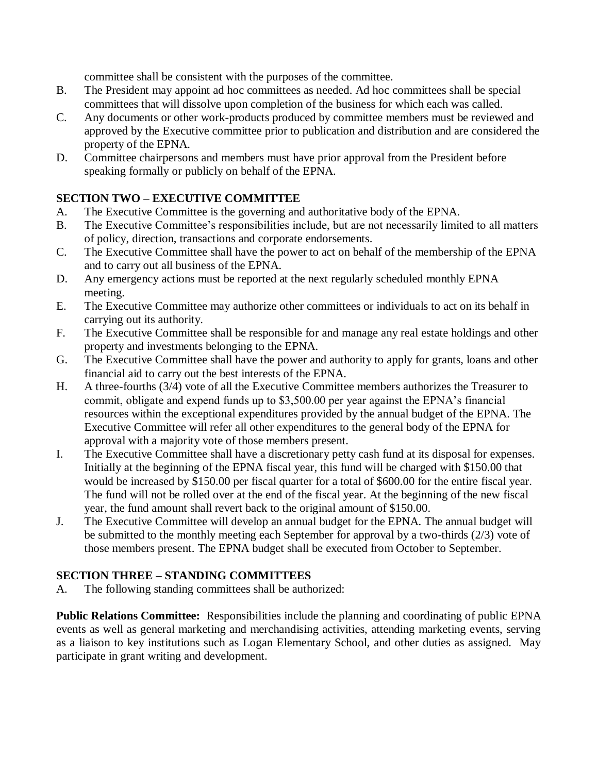committee shall be consistent with the purposes of the committee.

- B. The President may appoint ad hoc committees as needed. Ad hoc committees shall be special committees that will dissolve upon completion of the business for which each was called.
- C. Any documents or other work-products produced by committee members must be reviewed and approved by the Executive committee prior to publication and distribution and are considered the property of the EPNA.
- D. Committee chairpersons and members must have prior approval from the President before speaking formally or publicly on behalf of the EPNA.

#### **SECTION TWO – EXECUTIVE COMMITTEE**

- A. The Executive Committee is the governing and authoritative body of the EPNA.
- B. The Executive Committee's responsibilities include, but are not necessarily limited to all matters of policy, direction, transactions and corporate endorsements.
- C. The Executive Committee shall have the power to act on behalf of the membership of the EPNA and to carry out all business of the EPNA.
- D. Any emergency actions must be reported at the next regularly scheduled monthly EPNA meeting.
- E. The Executive Committee may authorize other committees or individuals to act on its behalf in carrying out its authority.
- F. The Executive Committee shall be responsible for and manage any real estate holdings and other property and investments belonging to the EPNA.
- G. The Executive Committee shall have the power and authority to apply for grants, loans and other financial aid to carry out the best interests of the EPNA.
- H. A three-fourths (3/4) vote of all the Executive Committee members authorizes the Treasurer to commit, obligate and expend funds up to \$3,500.00 per year against the EPNA's financial resources within the exceptional expenditures provided by the annual budget of the EPNA. The Executive Committee will refer all other expenditures to the general body of the EPNA for approval with a majority vote of those members present.
- I. The Executive Committee shall have a discretionary petty cash fund at its disposal for expenses. Initially at the beginning of the EPNA fiscal year, this fund will be charged with \$150.00 that would be increased by \$150.00 per fiscal quarter for a total of \$600.00 for the entire fiscal year. The fund will not be rolled over at the end of the fiscal year. At the beginning of the new fiscal year, the fund amount shall revert back to the original amount of \$150.00.
- J. The Executive Committee will develop an annual budget for the EPNA. The annual budget will be submitted to the monthly meeting each September for approval by a two-thirds (2/3) vote of those members present. The EPNA budget shall be executed from October to September.

#### **SECTION THREE – STANDING COMMITTEES**

A. The following standing committees shall be authorized:

**Public Relations Committee:** Responsibilities include the planning and coordinating of public EPNA events as well as general marketing and merchandising activities, attending marketing events, serving as a liaison to key institutions such as Logan Elementary School, and other duties as assigned. May participate in grant writing and development.